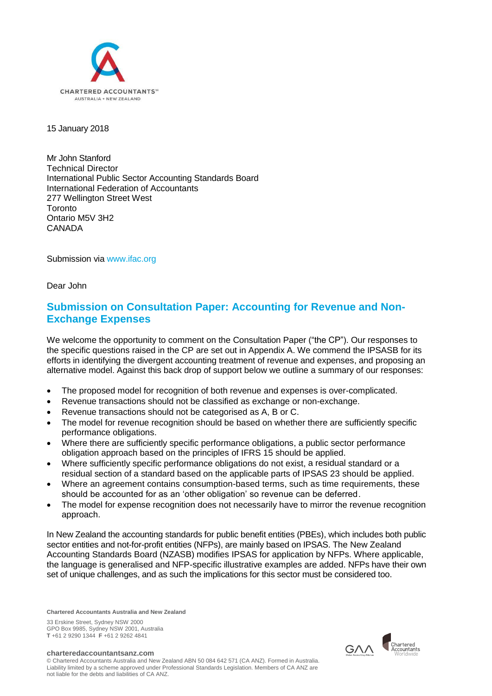

# 15 January 2018

Mr John Stanford Technical Director International Public Sector Accounting Standards Board International Federation of Accountants 277 Wellington Street West Toronto Ontario M5V 3H2 CANADA

Submission via [www.ifac.org](http://www.ifac.org/)

Dear John

# **Submission on Consultation Paper: Accounting for Revenue and Non-Exchange Expenses**

We welcome the opportunity to comment on the Consultation Paper ("the CP"). Our responses to the specific questions raised in the CP are set out in Appendix A. We commend the IPSASB for its efforts in identifying the divergent accounting treatment of revenue and expenses, and proposing an alternative model. Against this back drop of support below we outline a summary of our responses:

- The proposed model for recognition of both revenue and expenses is over-complicated.
- Revenue transactions should not be classified as exchange or non-exchange.
- Revenue transactions should not be categorised as A, B or C.
- The model for revenue recognition should be based on whether there are sufficiently specific performance obligations.
- Where there are sufficiently specific performance obligations, a public sector performance obligation approach based on the principles of IFRS 15 should be applied.
- Where sufficiently specific performance obligations do not exist, a residual standard or a residual section of a standard based on the applicable parts of IPSAS 23 should be applied.
- Where an agreement contains consumption-based terms, such as time requirements, these should be accounted for as an 'other obligation' so revenue can be deferred.
- The model for expense recognition does not necessarily have to mirror the revenue recognition approach.

In New Zealand the accounting standards for public benefit entities (PBEs), which includes both public sector entities and not-for-profit entities (NFPs), are mainly based on IPSAS. The New Zealand Accounting Standards Board (NZASB) modifies IPSAS for application by NFPs. Where applicable, the language is generalised and NFP-specific illustrative examples are added. NFPs have their own set of unique challenges, and as such the implications for this sector must be considered too.

**Chartered Accountants Australia and New Zealand**

33 Erskine Street, Sydney NSW 2000 GPO Box 9985, Sydney NSW 2001, Australia **T** +61 2 9290 1344 **F** +61 2 9262 4841

**charteredaccountantsanz.com**

© Chartered Accountants Australia and New Zealand ABN 50 084 642 571 (CA ANZ). Formed in Australia. Liability limited by a scheme approved under Professional Standards Legislation. Members of CA ANZ are not liable for the debts and liabilities of CA ANZ.

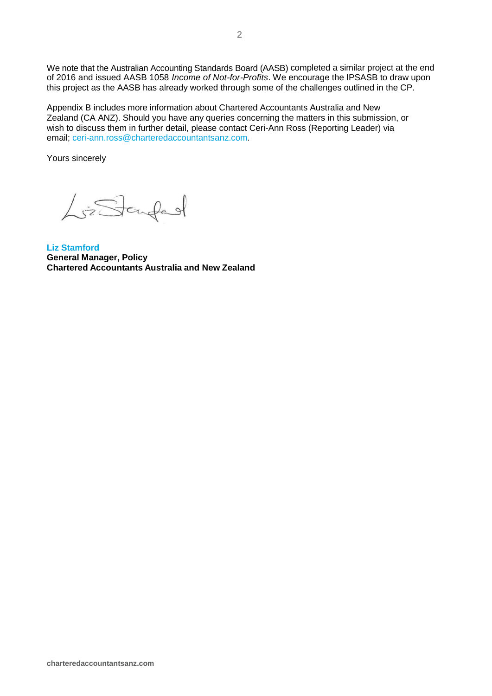We note that the Australian Accounting Standards Board (AASB) completed a similar project at the end of 2016 and issued AASB 1058 *Income of Not-for-Profits*. We encourage the IPSASB to draw upon this project as the AASB has already worked through some of the challenges outlined in the CP.

Appendix B includes more information about Chartered Accountants Australia and New Zealand (CA ANZ). Should you have any queries concerning the matters in this submission, or wish to discuss them in further detail, please contact Ceri-Ann Ross (Reporting Leader) via email; [ceri-ann.ross@charteredaccountantsanz.com.](mailto:ceri-ann.ross@charteredaccountantsanz.com)

Yours sincerely

LisStaufed

**Liz Stamford General Manager, Policy Chartered Accountants Australia and New Zealand**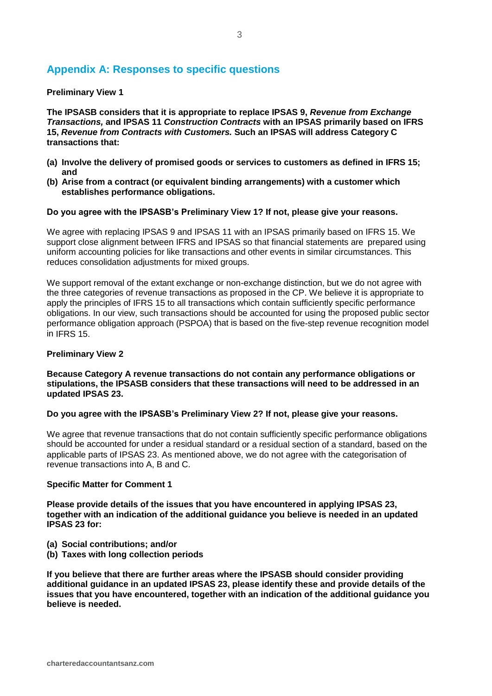# **Appendix A: Responses to specific questions**

## **Preliminary View 1**

**The IPSASB considers that it is appropriate to replace IPSAS 9,** *Revenue from Exchange Transactions,* **and IPSAS 11** *Construction Contracts* **with an IPSAS primarily based on IFRS 15,** *Revenue from Contracts with Customers.* **Such an IPSAS will address Category C transactions that:**

- **(a) Involve the delivery of promised goods or services to customers as defined in IFRS 15; and**
- **(b) Arise from a contract (or equivalent binding arrangements) with a customer which establishes performance obligations.**

## **Do you agree with the IPSASB's Preliminary View 1? If not, please give your reasons.**

We agree with replacing IPSAS 9 and IPSAS 11 with an IPSAS primarily based on IFRS 15. We support close alignment between IFRS and IPSAS so that financial statements are prepared using uniform accounting policies for like transactions and other events in similar circumstances. This reduces consolidation adjustments for mixed groups.

We support removal of the extant exchange or non-exchange distinction, but we do not agree with the three categories of revenue transactions as proposed in the CP. We believe it is appropriate to apply the principles of IFRS 15 to all transactions which contain sufficiently specific performance obligations. In our view, such transactions should be accounted for using the proposed public sector performance obligation approach (PSPOA) that is based on the five-step revenue recognition model in IFRS 15.

#### **Preliminary View 2**

## **Because Category A revenue transactions do not contain any performance obligations or stipulations, the IPSASB considers that these transactions will need to be addressed in an updated IPSAS 23.**

#### **Do you agree with the IPSASB's Preliminary View 2? If not, please give your reasons.**

We agree that revenue transactions that do not contain sufficiently specific performance obligations should be accounted for under a residual standard or a residual section of a standard, based on the applicable parts of IPSAS 23. As mentioned above, we do not agree with the categorisation of revenue transactions into A, B and C.

#### **Specific Matter for Comment 1**

**Please provide details of the issues that you have encountered in applying IPSAS 23, together with an indication of the additional guidance you believe is needed in an updated IPSAS 23 for:**

- **(a) Social contributions; and/or**
- **(b) Taxes with long collection periods**

**If you believe that there are further areas where the IPSASB should consider providing additional guidance in an updated IPSAS 23, please identify these and provide details of the issues that you have encountered, together with an indication of the additional guidance you believe is needed.**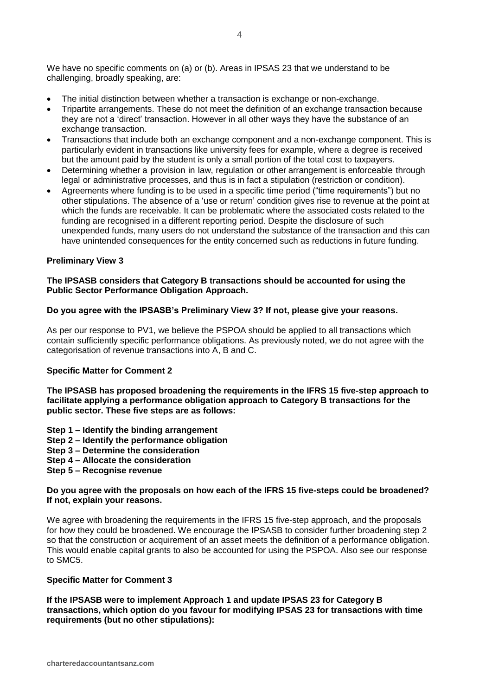We have no specific comments on (a) or (b). Areas in IPSAS 23 that we understand to be challenging, broadly speaking, are:

- The initial distinction between whether a transaction is exchange or non-exchange.
- Tripartite arrangements. These do not meet the definition of an exchange transaction because they are not a 'direct' transaction. However in all other ways they have the substance of an exchange transaction.
- Transactions that include both an exchange component and a non-exchange component. This is particularly evident in transactions like university fees for example, where a degree is received but the amount paid by the student is only a small portion of the total cost to taxpayers.
- Determining whether a provision in law, regulation or other arrangement is enforceable through legal or administrative processes, and thus is in fact a stipulation (restriction or condition).
- Agreements where funding is to be used in a specific time period ("time requirements") but no other stipulations. The absence of a 'use or return' condition gives rise to revenue at the point at which the funds are receivable. It can be problematic where the associated costs related to the funding are recognised in a different reporting period. Despite the disclosure of such unexpended funds, many users do not understand the substance of the transaction and this can have unintended consequences for the entity concerned such as reductions in future funding.

## **Preliminary View 3**

## **The IPSASB considers that Category B transactions should be accounted for using the Public Sector Performance Obligation Approach.**

#### **Do you agree with the IPSASB's Preliminary View 3? If not, please give your reasons.**

As per our response to PV1, we believe the PSPOA should be applied to all transactions which contain sufficiently specific performance obligations. As previously noted, we do not agree with the categorisation of revenue transactions into A, B and C.

#### **Specific Matter for Comment 2**

**The IPSASB has proposed broadening the requirements in the IFRS 15 five-step approach to facilitate applying a performance obligation approach to Category B transactions for the public sector. These five steps are as follows:**

- **Step 1 – Identify the binding arrangement**
- **Step 2 – Identify the performance obligation**
- **Step 3 – Determine the consideration**
- **Step 4 – Allocate the consideration**
- **Step 5 – Recognise revenue**

## **Do you agree with the proposals on how each of the IFRS 15 five-steps could be broadened? If not, explain your reasons.**

We agree with broadening the requirements in the IFRS 15 five-step approach, and the proposals for how they could be broadened. We encourage the IPSASB to consider further broadening step 2 so that the construction or acquirement of an asset meets the definition of a performance obligation. This would enable capital grants to also be accounted for using the PSPOA. Also see our response to SMC5.

#### **Specific Matter for Comment 3**

**If the IPSASB were to implement Approach 1 and update IPSAS 23 for Category B transactions, which option do you favour for modifying IPSAS 23 for transactions with time requirements (but no other stipulations):**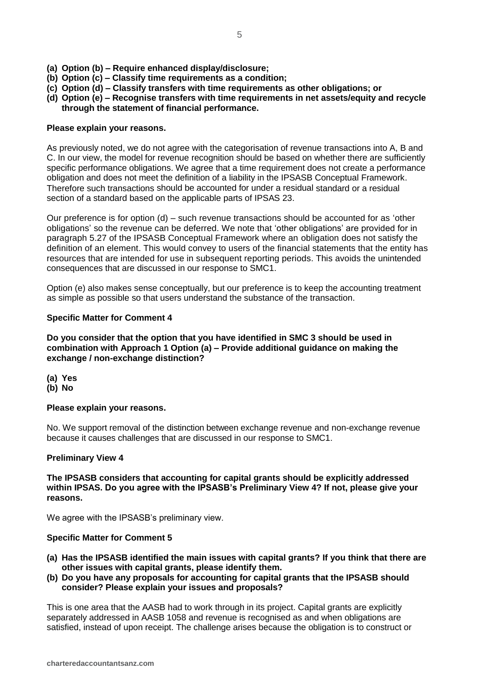- **(a) Option (b) – Require enhanced display/disclosure;**
- **(b) Option (c) – Classify time requirements as a condition;**
- **(c) Option (d) – Classify transfers with time requirements as other obligations; or**
- **(d) Option (e) – Recognise transfers with time requirements in net assets/equity and recycle through the statement of financial performance.**

## **Please explain your reasons.**

As previously noted, we do not agree with the categorisation of revenue transactions into A, B and C. In our view, the model for revenue recognition should be based on whether there are sufficiently specific performance obligations. We agree that a time requirement does not create a performance obligation and does not meet the definition of a liability in the IPSASB Conceptual Framework. Therefore such transactions should be accounted for under a residual standard or a residual section of a standard based on the applicable parts of IPSAS 23.

Our preference is for option (d) – such revenue transactions should be accounted for as 'other obligations' so the revenue can be deferred. We note that 'other obligations' are provided for in paragraph 5.27 of the IPSASB Conceptual Framework where an obligation does not satisfy the definition of an element. This would convey to users of the financial statements that the entity has resources that are intended for use in subsequent reporting periods. This avoids the unintended consequences that are discussed in our response to SMC1.

Option (e) also makes sense conceptually, but our preference is to keep the accounting treatment as simple as possible so that users understand the substance of the transaction.

# **Specific Matter for Comment 4**

**Do you consider that the option that you have identified in SMC 3 should be used in combination with Approach 1 Option (a) – Provide additional guidance on making the exchange / non-exchange distinction?** 

- **(a) Yes**
- **(b) No**

# **Please explain your reasons.**

No. We support removal of the distinction between exchange revenue and non-exchange revenue because it causes challenges that are discussed in our response to SMC1.

# **Preliminary View 4**

**The IPSASB considers that accounting for capital grants should be explicitly addressed** within IPSAS. Do you agree with the IPSASB's Preliminary View 4? If not, please give your **reasons.**

We agree with the IPSASB's preliminary view.

# **Specific Matter for Comment 5**

- **(a) Has the IPSASB identified the main issues with capital grants? If you think that there are other issues with capital grants, please identify them.**
- **(b) Do you have any proposals for accounting for capital grants that the IPSASB should consider? Please explain your issues and proposals?**

This is one area that the AASB had to work through in its project. Capital grants are explicitly separately addressed in AASB 1058 and revenue is recognised as and when obligations are satisfied, instead of upon receipt. The challenge arises because the obligation is to construct or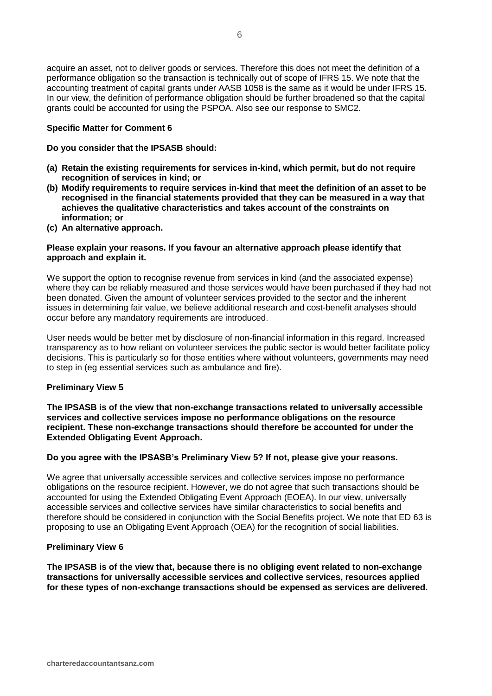acquire an asset, not to deliver goods or services. Therefore this does not meet the definition of a performance obligation so the transaction is technically out of scope of IFRS 15. We note that the accounting treatment of capital grants under AASB 1058 is the same as it would be under IFRS 15. In our view, the definition of performance obligation should be further broadened so that the capital grants could be accounted for using the PSPOA. Also see our response to SMC2.

## **Specific Matter for Comment 6**

**Do you consider that the IPSASB should:**

- **(a) Retain the existing requirements for services in-kind, which permit, but do not require recognition of services in kind; or**
- **(b) Modify requirements to require services in-kind that meet the definition of an asset to be recognised in the financial statements provided that they can be measured in a way that achieves the qualitative characteristics and takes account of the constraints on information; or**
- **(c) An alternative approach.**

## **Please explain your reasons. If you favour an alternative approach please identify that approach and explain it.**

We support the option to recognise revenue from services in kind (and the associated expense) where they can be reliably measured and those services would have been purchased if they had not been donated. Given the amount of volunteer services provided to the sector and the inherent issues in determining fair value, we believe additional research and cost-benefit analyses should occur before any mandatory requirements are introduced.

User needs would be better met by disclosure of non-financial information in this regard. Increased transparency as to how reliant on volunteer services the public sector is would better facilitate policy decisions. This is particularly so for those entities where without volunteers, governments may need to step in (eg essential services such as ambulance and fire).

# **Preliminary View 5**

**The IPSASB is of the view that non-exchange transactions related to universally accessible services and collective services impose no performance obligations on the resource recipient. These non-exchange transactions should therefore be accounted for under the Extended Obligating Event Approach.**

#### **Do you agree with the IPSASB's Preliminary View 5? If not, please give your reasons.**

We agree that universally accessible services and collective services impose no performance obligations on the resource recipient. However, we do not agree that such transactions should be accounted for using the Extended Obligating Event Approach (EOEA). In our view, universally accessible services and collective services have similar characteristics to social benefits and therefore should be considered in conjunction with the Social Benefits project. We note that ED 63 is proposing to use an Obligating Event Approach (OEA) for the recognition of social liabilities.

# **Preliminary View 6**

**The IPSASB is of the view that, because there is no obliging event related to non-exchange transactions for universally accessible services and collective services, resources applied for these types of non-exchange transactions should be expensed as services are delivered.**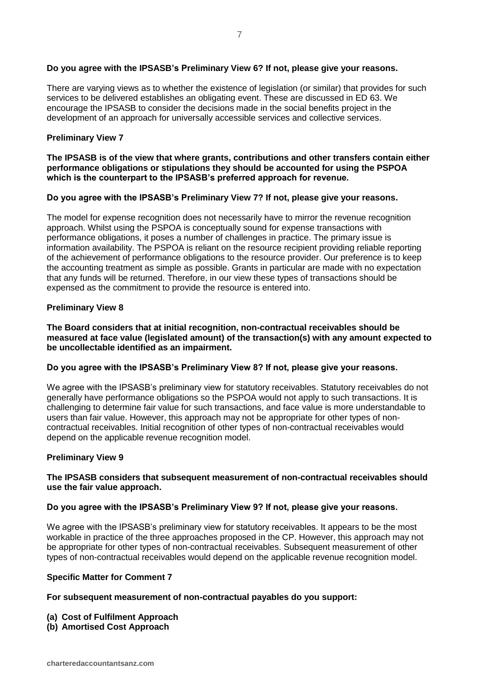# **Do you agree with the IPSASB's Preliminary View 6? If not, please give your reasons.**

There are varying views as to whether the existence of legislation (or similar) that provides for such services to be delivered establishes an obligating event. These are discussed in ED 63. We encourage the IPSASB to consider the decisions made in the social benefits project in the development of an approach for universally accessible services and collective services.

## **Preliminary View 7**

## **The IPSASB is of the view that where grants, contributions and other transfers contain either performance obligations or stipulations they should be accounted for using the PSPOA which is the counterpart to the IPSASB's preferred approach for revenue.**

## **Do you agree with the IPSASB's Preliminary View 7? If not, please give your reasons.**

The model for expense recognition does not necessarily have to mirror the revenue recognition approach. Whilst using the PSPOA is conceptually sound for expense transactions with performance obligations, it poses a number of challenges in practice. The primary issue is information availability. The PSPOA is reliant on the resource recipient providing reliable reporting of the achievement of performance obligations to the resource provider. Our preference is to keep the accounting treatment as simple as possible. Grants in particular are made with no expectation that any funds will be returned. Therefore, in our view these types of transactions should be expensed as the commitment to provide the resource is entered into.

## **Preliminary View 8**

**The Board considers that at initial recognition, non-contractual receivables should be measured at face value (legislated amount) of the transaction(s) with any amount expected to be uncollectable identified as an impairment.**

## **Do you agree with the IPSASB's Preliminary View 8? If not, please give your reasons.**

We agree with the IPSASB's preliminary view for statutory receivables. Statutory receivables do not generally have performance obligations so the PSPOA would not apply to such transactions. It is challenging to determine fair value for such transactions, and face value is more understandable to users than fair value. However, this approach may not be appropriate for other types of noncontractual receivables. Initial recognition of other types of non-contractual receivables would depend on the applicable revenue recognition model.

#### **Preliminary View 9**

## **The IPSASB considers that subsequent measurement of non-contractual receivables should use the fair value approach.**

#### **Do you agree with the IPSASB's Preliminary View 9? If not, please give your reasons.**

We agree with the IPSASB's preliminary view for statutory receivables. It appears to be the most workable in practice of the three approaches proposed in the CP. However, this approach may not be appropriate for other types of non-contractual receivables. Subsequent measurement of other types of non-contractual receivables would depend on the applicable revenue recognition model.

#### **Specific Matter for Comment 7**

#### **For subsequent measurement of non-contractual payables do you support:**

- **(a) Cost of Fulfilment Approach**
- **(b) Amortised Cost Approach**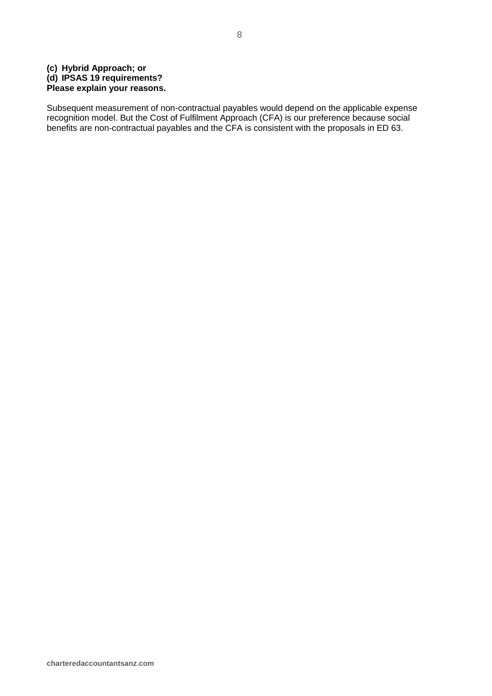# **(c) Hybrid Approach; or (d) IPSAS 19 requirements? Please explain your reasons.**

Subsequent measurement of non-contractual payables would depend on the applicable expense recognition model. But the Cost of Fulfilment Approach (CFA) is our preference because social benefits are non-contractual payables and the CFA is consistent with the proposals in ED 63.